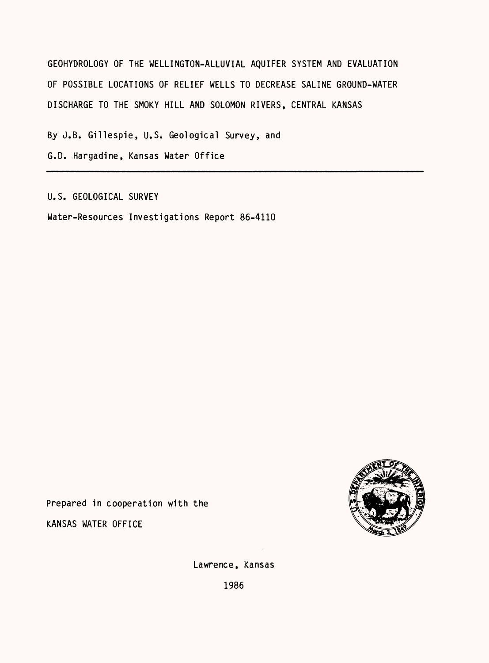GEOHYDROLOGY OF THE WELLINGTON-ALLUVIAL AQUIFER SYSTEM AND EVALUATION OF POSSIBLE LOCATIONS OF RELIEF WELLS TO DECREASE SALINE GROUND-WATER DISCHARGE TO THE SMOKY HILL AND SOLOMON RIVERS, CENTRAL KANSAS

By J.B. Gillespie, U.S. Geological Survey, and

G.D. Hargadine, Kansas Water Office

U.S. GEOLOGICAL SURVEY

Water-Resources Investigations Report 86-4110



Prepared in cooperation with the

KANSAS WATER OFFICE

Lawrence, Kansas

1986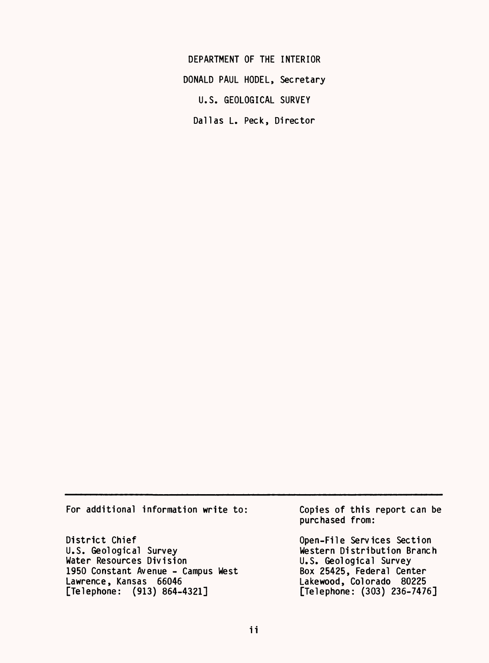DEPARTMENT OF THE INTERIOR DONALD PAUL MODEL, Secretary U.S. GEOLOGICAL SURVEY Dallas L. Peck, Director

For additional information write to:

District Chief U.S. Geological Survey Water Resources Division 1950 Constant Avenue - Campus West Lawrence, Kansas 66046 [Telephone: (913) 864-4321]

Copies of this report can be purchased from:

Open-File Services Section Western Distribution Branch U.S. Geological Survey Box 25425, Federal Center Lakewood, Colorado 80225 [Telephone: (303) 236-7476]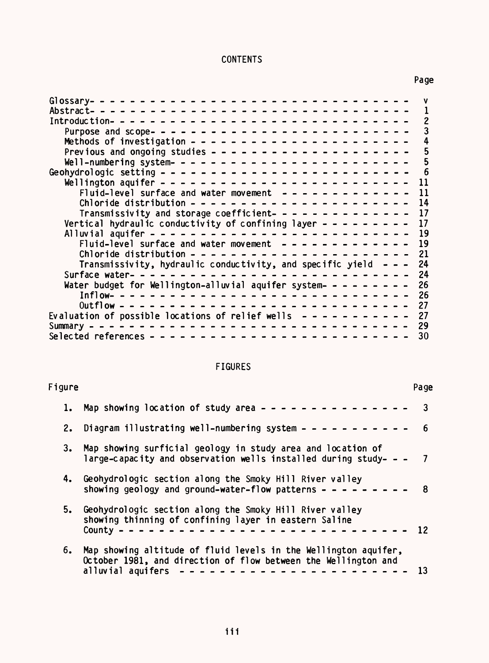# CONTENTS

Page

|                                                                             | rag            |
|-----------------------------------------------------------------------------|----------------|
|                                                                             |                |
|                                                                             | $\mathbf{1}$   |
|                                                                             | $\overline{c}$ |
|                                                                             | $\overline{3}$ |
|                                                                             |                |
|                                                                             |                |
|                                                                             |                |
|                                                                             | $\overline{6}$ |
|                                                                             | 11             |
| Fluid-level surface and water movement $- - - - - - - - - - - -$            | 11             |
|                                                                             | 14             |
| Transmissivity and storage coefficient- - - - - - - - - - - - - - 17        |                |
| Vertical hydraulic conductivity of confining layer - - - - - - - - -        | 17             |
|                                                                             | 19             |
| Fluid-level surface and water movement $- - - - - - - - - - - - - - - 19$   |                |
|                                                                             | 21             |
| Transmissivity, hydraulic conductivity, and specific yield $- -$            | 24             |
|                                                                             | 24             |
| Water budget for Wellington-alluvial aquifer system- - - - - - - - -        | 26             |
| Inflow- -------------------------------                                     | - 26           |
|                                                                             |                |
| Evaluation of possible locations of relief wells $- - - - - - - - - - - 27$ |                |
|                                                                             |                |
|                                                                             |                |
|                                                                             |                |

# FIGURES

| Figure |                                                                                                                                                                               | Page |
|--------|-------------------------------------------------------------------------------------------------------------------------------------------------------------------------------|------|
| ı.     | Map showing location of study area - - - - - - - - - - - - - - -                                                                                                              | 3    |
| 2.     | Diagram illustrating well-numbering system - - - - - - - - - - -                                                                                                              | -6   |
| 3.     | Map showing surficial geology in study area and location of<br>large-capacity and observation wells installed during study- $- - 7$                                           |      |
| 4.     | Geohydrologic section along the Smoky Hill River valley<br>showing geology and ground-water-flow patterns $- - - - - - - -$                                                   | 8    |
| 5.     | Geohydrologic section along the Smoky Hill River valley<br>showing thinning of confining layer in eastern Saline<br>County $- - -$                                            | 12   |
| 6.     | Map showing altitude of fluid levels in the Wellington aquifer,<br>October 1981, and direction of flow between the Wellington and<br>-------------------<br>alluvial aquifers |      |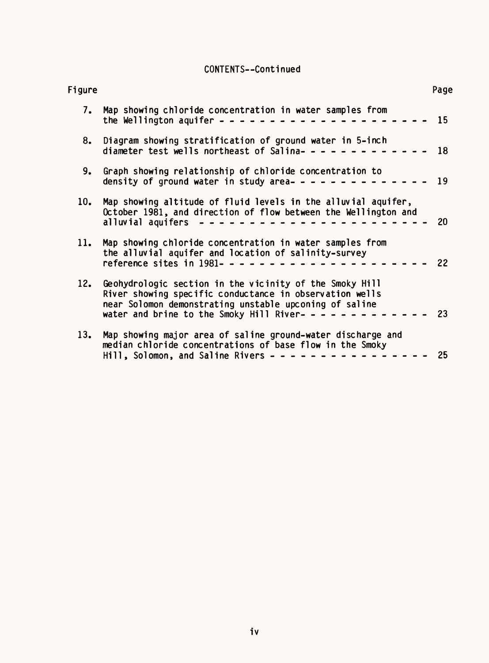# CONTENTS--Continued

| Figure |                                                                                                                                                                                                                                                  | Page |  |
|--------|--------------------------------------------------------------------------------------------------------------------------------------------------------------------------------------------------------------------------------------------------|------|--|
|        | 7. Map showing chloride concentration in water samples from                                                                                                                                                                                      |      |  |
| 8.     | Diagram showing stratification of ground water in 5-inch<br>diameter test wells northeast of Salina------------- 18                                                                                                                              |      |  |
| 9.     | Graph showing relationship of chloride concentration to<br>density of ground water in study area-------------- 19                                                                                                                                |      |  |
| 10.    | Map showing altitude of fluid levels in the alluvial aquifer,<br>October 1981, and direction of flow between the Wellington and<br>alluvial aquifers ------------------------                                                                    | 20   |  |
| 11.    | Map showing chloride concentration in water samples from<br>the alluvial aquifer and location of salinity-survey                                                                                                                                 | 22   |  |
| 12.    | Geohydrologic section in the vicinity of the Smoky Hill<br>River showing specific conductance in observation wells<br>near Solomon demonstrating unstable upconing of saline<br>water and brine to the Smoky Hill River- - - - - - - - - - - - - | 23   |  |
| 13.    | Map showing major area of saline ground-water discharge and<br>median chloride concentrations of base flow in the Smoky<br>Hill, Solomon, and Saline Rivers - - - - - - - - - - - - - - -                                                        | 25   |  |
|        |                                                                                                                                                                                                                                                  |      |  |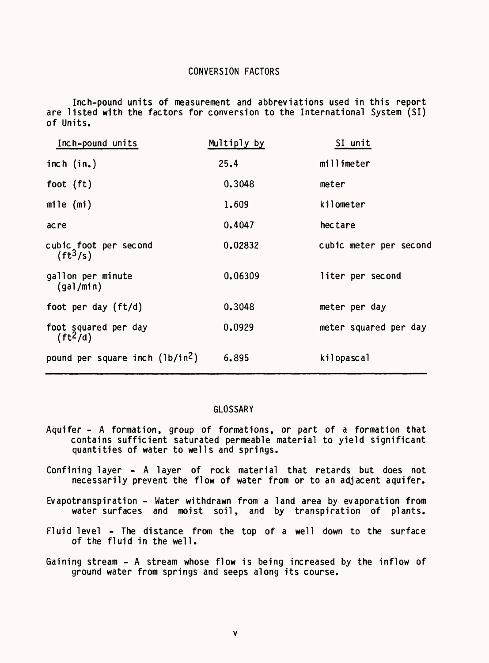# CONVERSION FACTORS

Inch-pound units of measurement and abbreviations used in this report are listed with the factors for conversion to the International System (SI) of Units.

| Inch-pound units                            | Multiply by | SI unit                |
|---------------------------------------------|-------------|------------------------|
| inch $(in.)$                                | 25.4        | millimeter             |
| foot $(ft)$                                 | 0.3048      | meter                  |
| mile $(mi)$                                 | 1,609       | kilometer              |
| ac re                                       | 0.4047      | hectare                |
| cubic foot per second<br>$(ft^3/s)$         | 0.02832     | cubic meter per second |
| gallon per minute<br>(gal/min)              | 0.06309     | liter per second       |
| foot per day (ft/d)                         | 0.3048      | meter per day          |
| foot squared per day<br>$(ft^2/d)$          | 0.0929      | meter squared per day  |
| pound per square inch (1b/in <sup>2</sup> ) | 6.895       | kilopascal             |
|                                             |             |                        |

# GLOSSARY

- Aquifer A formation, group of formations, or part of a formation that contains sufficient saturated permeable material to yield significant quantities of water to wells and springs.
- Confining layer A layer of rock material that retards but does not necessarily prevent the flow of water from or to an adjacent aquifer.
- Evapotranspiration Water withdrawn from a land area by evaporation from water surfaces and moist soil, and by transpiration of plants.
- Fluid level The distance from the top of a well down to the surface of the fluid in the well.
- Gaining stream A stream whose flow is being increased by the inflow of ground water from springs and seeps along its course.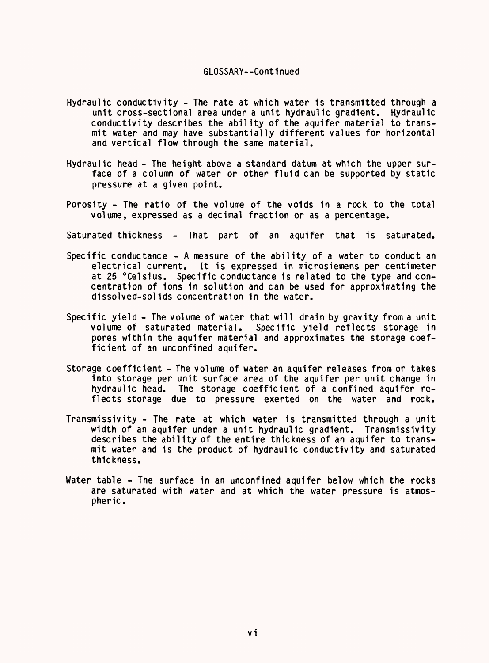# GLOSSARY--Continued

- Hydraulic conductivity The rate at which water is transmitted through a unit cross-sectional area under a unit hydraulic gradient. Hydraulic conductivity describes the ability of the aquifer material to transmit water and may have substantially different values for horizontal and vertical flow through the same material.
- Hydraulic head The height above a standard datum at which the upper surface of a column of water or other fluid can be supported by static pressure at a given point.
- Porosity The ratio of the volume of the voids in a rock to the total volume, expressed as a decimal fraction or as a percentage.
- Saturated thickness That part of an aquifer that is saturated.
- Specific conductance A measure of the ability of a water to conduct an electrical current. It is expressed in microsiemens per centimeter at 25 °Celsius. Specific conductance is related to the type and concentration of ions in solution and can be used for approximating the dissolved-solids concentration in the water.
- Specific yield The volume of water that will drain by gravity from a unit volume of saturated material. Specific yield reflects storage in pores within the aquifer material and approximates the storage coefficient of an unconfined aquifer.
- Storage coefficient The volume of water an aquifer releases from or takes into storage per unit surface area of the aquifer per unit change in hydraulic head. The storage coefficient of a confined aquifer reflects storage due to pressure exerted on the water and rock.
- Transmissivity The rate at which water is transmitted through a unit width of an aquifer under a unit hydraulic gradient. Transmissivity describes the ability of the entire thickness of an aquifer to transmit water and is the product of hydraulic conductivity and saturated thickness.
- Water table The surface in an unconfined aquifer below which the rocks are saturated with water and at which the water pressure is atmospheric.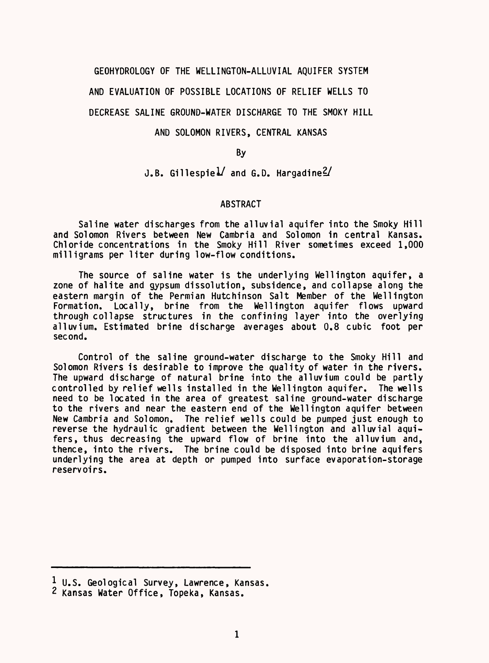### GEOHYDROLOGY OF THE WELLINGTON-ALLUVIAL AQUIFER SYSTEM

AND EVALUATION OF POSSIBLE LOCATIONS OF RELIEF WELLS TO

# DECREASE SALINE GROUND-WATER DISCHARGE TO THE SMOKY HILL

# AND SOLOMON RIVERS, CENTRAL KANSAS

By

# J.B. Gillespie $1/$  and G.D. Hargadine $2/$

### ABSTRACT

Saline water discharges from the alluvial aquifer into the Smoky Hill and Solomon Rivers between New Cambria and Solomon in central Kansas. Chloride concentrations in the Smoky Hill River sometimes exceed 1,000 milligrams per liter during low-flow conditions.

The source of saline water is the underlying Wellington aquifer, a zone of halite and gypsum dissolution, subsidence, and collapse along the eastern margin of the Permian Hutchinson Salt Member of the Wellington Formation. Locally, brine from the Wellington aquifer flows upward through collapse structures in the confining layer into the overlying alluvium. Estimated brine discharge averages about 0.8 cubic foot per second.

Control of the saline ground-water discharge to the Smoky Hill and Solomon Rivers is desirable to improve the quality of water in the rivers. The upward discharge of natural brine into the alluvium could be partly controlled by relief wells installed in the Wellington aquifer. The wells need to be located in the area of greatest saline ground-water discharge to the rivers and near the eastern end of the Wellington aquifer between New Cambria and Solomon. The relief wells could be pumped just enough to reverse the hydraulic gradient between the Wellington and alluvial aquifers, thus decreasing the upward flow of brine into the alluvium and, thence, into the rivers. The brine could be disposed into brine aquifers underlying the area at depth or pumped into surface evaporation-storage reservoirs.

<sup>1</sup> U.S. Geological Survey, Lawrence, Kansas,

<sup>2</sup> Kansas Water Office, Topeka, Kansas.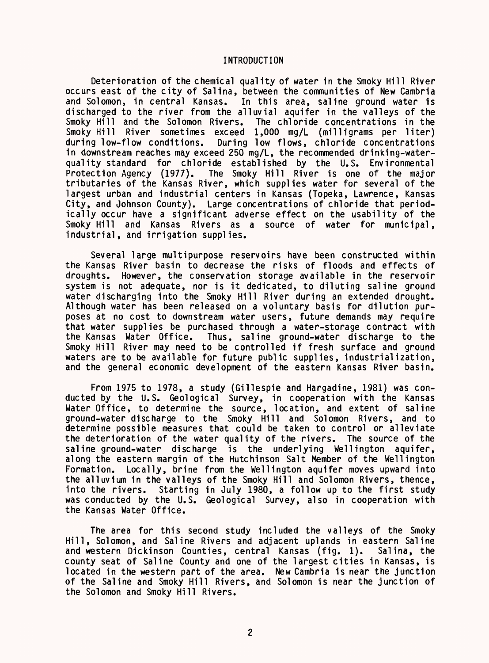# INTRODUCTION

Deterioration of the chemical quality of water in the Smoky Hill River occurs east of the city of Salina, between the communities of New Cambria and Solomon, in central Kansas. In this area, saline ground water is discharged to the river from the alluvial aquifer in the valleys of the Smoky Hill and the Solomon Rivers. The chloride concentrations in the The chloride concentrations in the Smoky Hill River sometimes exceed 1,000 mg/L (milligrams per liter) during low-flow conditions. During low flows, chloride concentrations in downstream reaches may exceed 250 mg/L, the recommended drinking-waterquality standard for chloride established by the U.S. Environmental<br>Protection Agency (1977). The Smoky Hill River is one of the major The Smoky Hill River is one of the major tributaries of the Kansas River, which supplies water for several of the largest urban and industrial centers in Kansas (Topeka, Lawrence, Kansas City, and Johnson County). Large concentrations of chloride that periodically occur have a significant adverse effect on the usability of the Smoky Hill and Kansas Rivers as a source of water for municipal, industrial, and irrigation supplies.

Several large multipurpose reservoirs have been constructed within the Kansas River basin to decrease the risks of floods and effects of droughts. However, the conservation storage available in the reservoir system is not adequate, nor is it dedicated, to diluting saline ground water discharging into the Smoky Hill River during an extended drought. Although water has been released on a voluntary basis for dilution purposes at no cost to downstream water users, future demands may require that water supplies be purchased through a water-storage contract with the Kansas Water Office. Thus, saline ground-water discharge to the Smoky Hill River may need to be controlled if fresh surface and ground waters are to be available for future public supplies, industrialization, and the general economic development of the eastern Kansas River basin.

From 1975 to 1978, a study (Gillespie and Hargadine, 1981) was conducted by the U.S. Geological Survey, in cooperation with the Kansas Water Office, to determine the source, location, and extent of saline ground-water discharge to the Smoky Hill and Solomon Rivers, and to determine possible measures that could be taken to control or alleviate the deterioration of the water quality of the rivers. The source of the saline ground-water discharge is the underlying Wellington aquifer, along the eastern margin of the Hutchinson Salt Member of the Wellington Formation. Locally, brine from the Wellington aquifer moves upward into the alluvium in the valleys of the Smoky Hill and Solomon Rivers, thence, into the rivers. Starting in July 1980, a follow up to the first study was conducted by the U.S. Geological Survey, also in cooperation with the Kansas Water Office.

The area for this second study included the valleys of the Smoky Hill, Solomon, and Saline Rivers and adjacent uplands in eastern Saline and western Dickinson Counties, central Kansas (fig. 1). Salina, the county seat of Saline County and one of the largest cities in Kansas, is located in the western part of the area. New Cambria is near the junction of the Saline and Smoky Hill Rivers, and Solomon is near the junction of the Solomon and Smoky Hill Rivers.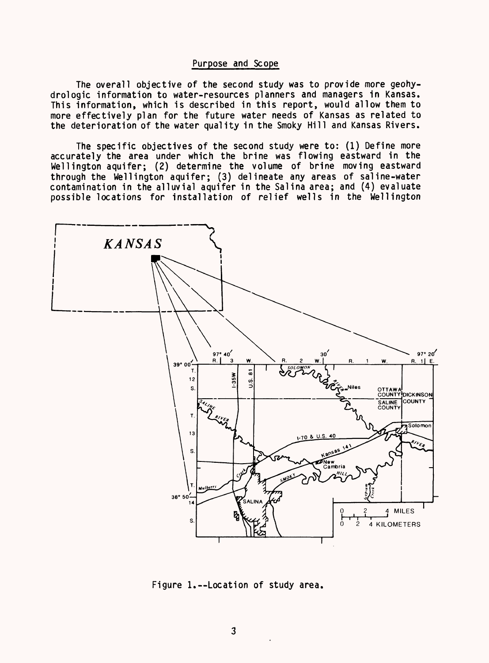# Purpose and Scope

The overall objective of the second study was to provide more geohydrologic information to water-resources planners and managers in Kansas. This information, which is described in this report, would allow them to more effectively plan for the future water needs of Kansas as related to the deterioration of the water quality in the Smoky Hill and Kansas Rivers.

The specific objectives of the second study were to: (1) Define more accurately the area under which the brine was flowing eastward in the Wellington aquifer; (2) determine the volume of brine moving eastward through the Wellington aquifer; (3) delineate any areas of saline-water contamination in the alluvial aquifer in the Salina area; and (4) evaluate possible locations for installation of relief wells in the Wellington



Figure 1.--Location of study area,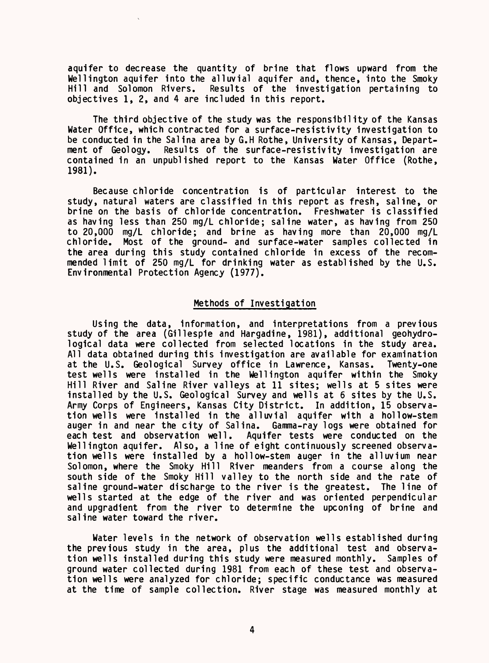aquifer to decrease the quantity of brine that flows upward from the Wellington aquifer into the alluvial aquifer and, thence, into the Smoky<br>Hill and Solomon Rivers. Results of the investigation pertaining to Results of the investigation pertaining to objectives 1, 2, and 4 are included in this report.

The third objective of the study was the responsibility of the Kansas Water Office, which contracted for a surface-resistivity investigation to be conducted in the Salina area by G.H Rothe, University of Kansas, Department of Geology. Results of the surface-resistivity investigation are contained in an unpublished report to the Kansas Water Office (Rothe, 1981).

Because chloride concentration is of particular interest to the study, natural waters are classified in this report as fresh, saline, or brine on the basis of chloride concentration. Freshwater is classified as having less than 250 mg/L chloride; saline water, as having from 250 to 20,000 mg/L chloride; and brine as having more than 20,000 mg/L chloride. Most of the ground- and surface-water samples collected in the area during this study contained chloride in excess of the recommended limit of 250 mg/L for drinking water as established by the U.S. Environmental Protection Agency (1977).

# Methods of Investigation

Using the data, information, and interpretations from a previous study of the area (Gillespie and Hargadine, 1981), additional geohydrological data were collected from selected locations in the study area. All data obtained during this investigation are available for examination at the U.S. Geological Survey office in Lawrence, Kansas. Twenty-one test wells were installed in the Wellington aquifer within the Smoky Hill River and Saline River valleys at 11 sites; wells at 5 sites were installed by the U.S. Geological Survey and wells at 6 sites by the U.S. Army Corps of Engineers, Kansas City District. In addition, 15 observation wells were installed in the alluvial aquifer with a hollow-stem auger in and near the city of Salina. Gamma-ray logs were obtained for each test and observation well. Aquifer tests were conducted on the Wellington aquifer. Also, a line of eight continuously screened observation wells were installed by a hollow-stem auger in the alluvium near Solomon, where the Smoky Hill River meanders from a course along the south side of the Smoky Hill valley to the north side and the rate of saline ground-water discharge to the river is the greatest. The line of wells started at the edge of the river and was oriented perpendicular and upgradient from the river to determine the upconing of brine and saline water toward the river.

Water levels in the network of observation wells established during the previous study in the area, plus the additional test and observation wells installed during this study were measured monthly. Samples of ground water collected during 1981 from each of these test and observation wells were analyzed for chloride; specific conductance was measured at the time of sample collection. River stage was measured monthly at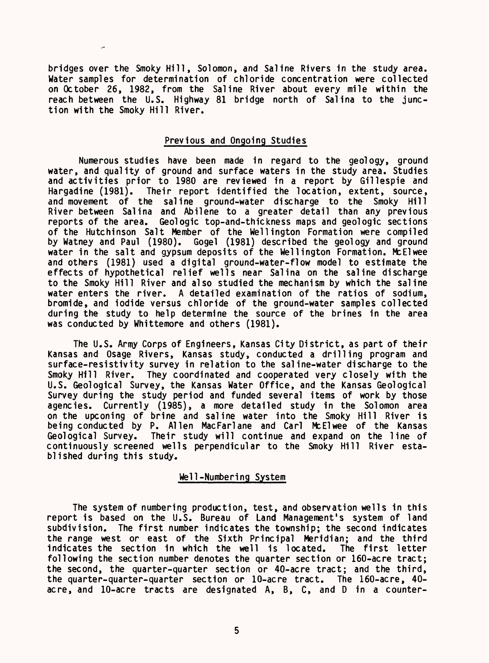bridges over the Smoky Hill, Solomon, and Saline Rivers in the study area. Water samples for determination of chloride concentration were collected on October 26, 1982, from the Saline River about every mile within the reach between the U.S. Highway 81 bridge north of Salina to the junction with the Smoky Hill River.

# Previous and Ongoing Studies

Numerous studies have been made in regard to the geology, ground water, and quality of ground and surface waters in the study area. Studies and activities prior to 1980 are reviewed in a report by Gillespie and Hargadine (1981). Their report identified the location, extent, source, Their report identified the location, extent, source, and movement of the saline ground-water discharge to the Smoky Hill River between Salina and Abilene to a greater detail than any previous reports of the area. Geologic top-and-thickness maps and geologic sections of the Hutchinson Salt Member of the Wellington Formation were compiled by Watney and Paul (1980). Gogel (1981) described the geology and ground water in the salt and gypsum deposits of the Wellington Formation. McElwee and others (1981) used a digital ground-water-flow model to estimate the effects of hypothetical relief wells near Salina on the saline discharge to the Smoky Hill River and also studied the mechanism by which the saline water enters the river. A detailed examination of the ratios of sodium, bromide, and iodide versus chloride of the ground-water samples collected during the study to help determine the source of the brines in the area was conducted by Whittemore and others (1981).

The U.S. Army Corps of Engineers, Kansas City District, as part of their Kansas and Osage Rivers, Kansas study, conducted a drilling program and surface-resistivity survey in relation to the saline-water discharge to the Smoky Hill River. They coordinated and cooperated very closely with the U.S. Geological Survey, the Kansas Water Office, and the Kansas Geological Survey during the study period and funded several items of work by those agencies. Currently (1985), a more detailed study in the Solomon area on the upconing of brine and saline water into the Smoky Hill River is being conducted by P. Alien MacFarlane and Carl McElwee of the Kansas Geological Survey. Their study will continue and expand on the line of continuously screened wells perpendicular to the Smoky Hill River established during this study.

# Well-Numbering System

The system of numbering production, test, and observation wells in this report is based on the U.S. Bureau of Land Management's system of land subdivision. The first number indicates the township; the second indicates the range west or east of the Sixth Principal Meridian; and the third indicates the section in which the well is located. The first letter following the section number denotes the quarter section or 160-acre tract; the second, the quarter-quarter section or 40-acre tract; and the third, the quarter-quarter-quarter section or 10-acre tract. The 160-acre, 40 acre, and 10-acre tracts are designated A, B, C, and D in a counter-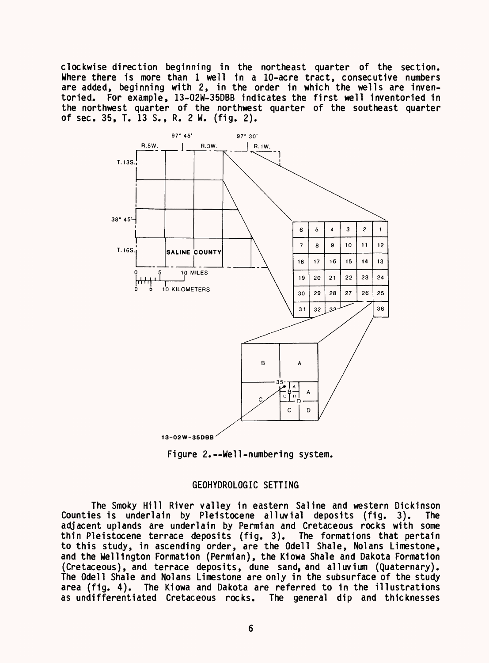clockwise direction beginning in the northeast quarter of the section. Where there is more than 1 well in a 10-acre tract, consecutive numbers are added, beginning with 2, in the order in which the wells are inventoried. For example, 13-02W-35DBB indicates the first well inventoried in the northwest quarter of the northwest quarter of the southeast quarter of sec. 35, T. 13 S., R. 2 W. (fig. 2).



Figure 2.--Well-numbering system.

# GEOHYDROLOGIC SETTING

The Smoky Hill River valley in eastern Saline and western Dickinson Counties is underlain by Pleistocene alluvial deposits (fig. 3). The adjacent uplands are underlain by Permian and Cretaceous rocks with some thin Pleistocene terrace deposits (fig. 3). The formations that pertain to this study, in ascending order, are the Odell Shale, Nolans Limestone, and the Wellington Formation (Permian), the Kiowa Shale and Dakota Formation (Cretaceous), and terrace deposits, dune sand, and alluvium (Quaternary). The Odell Shale and Nolans Limestone are only in the subsurface of the study area (fig. 4). The Kiowa and Dakota are referred to in the illustrations as undifferentiated Cretaceous rocks. The general dip and thicknesses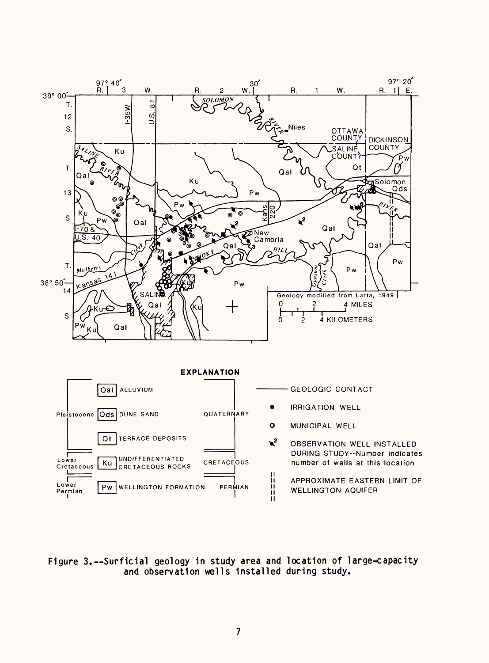

Figure 3.--Surficial geology in study area and location of large-capacity and observation wells installed during study.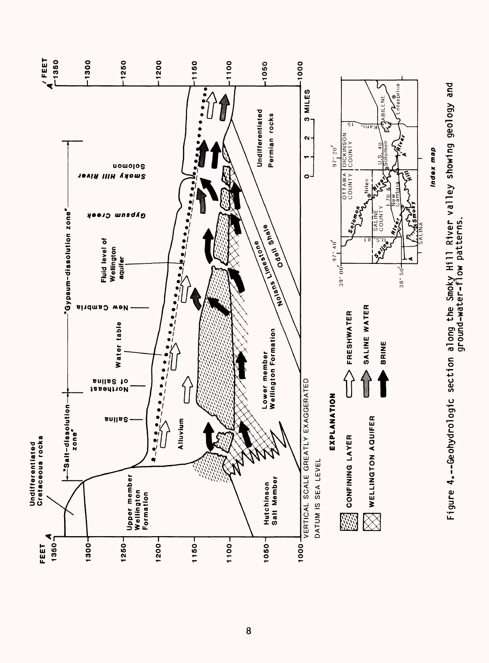

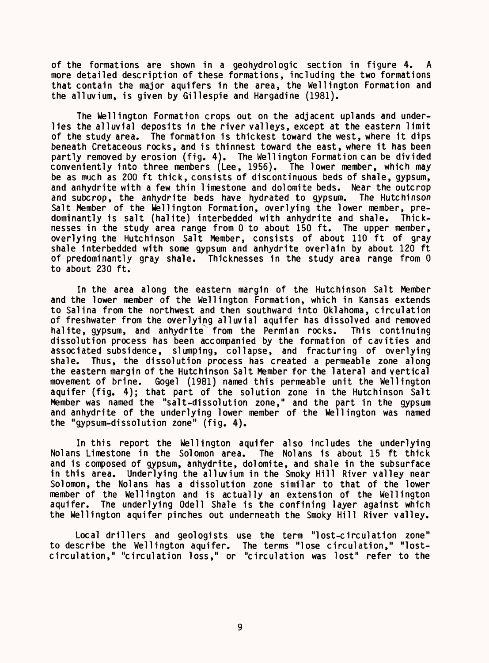of the formations are shown in a geohydrologic section in figure 4. A more detailed description of these formations, including the two formations that contain the major aquifers in the area, the Wellington Formation and the alluvium, is given by Gillespie and Hargadine (1981).

The Wellington Formation crops out on the adjacent uplands and underlies the alluvial deposits in the river valleys, except at the eastern limit of the study area. The formation is thickest toward the west, where it dips beneath Cretaceous rocks, and is thinnest toward the east, where it has been partly removed by erosion (fig. 4). The Wellington Formation can be divided conveniently into three members (Lee, 1956). The lower member, which may be as much as 200 ft thick, consists of discontinuous beds of shale, gypsum, and anhydrite with a few thin limestone and dolomite beds. Near the outcrop and subcrop, the anhydrite beds have hydrated to gypsum. The Hutchinson Salt Member of the Wellington Formation, overlying the lower member, predominantly is salt (halite) interbedded with anhydrite and shale. Thicknesses in the study area range from 0 to about 150 ft. The upper member, overlying the Hutchinson Salt Member, consists of about 110 ft of gray shale interbedded with some gypsum and anhydrite overlain by about 120 ft of predominantly gray shale. Thicknesses in the study area range from 0 to about 230 ft.

In the area along the eastern margin of the Hutchinson Salt Member and the lower member of the Wellington Formation, which in Kansas extends to Salina from the northwest and then southward into Oklahoma, circulation of freshwater from the overlying alluvial aquifer has dissolved and removed halite, gypsum, and anhydrite from the Permian rocks. This continuing dissolution process has been accompanied by the formation of cavities and associated subsidence, slumping, collapse, and fracturing of overlying shale. Thus, the dissolution process has created a permeable zone along the eastern margin of the Hutchinson Salt Member for the lateral and vertical movement of brine. Gogel (1981) named this permeable unit the Wellington aquifer (fig. 4); that part of the solution zone in the Hutchinson Salt Member was named the "salt-dissolution zone," and the part in the gypsum and anhydrite of the underlying lower member of the Wellington was named the "gypsum-dissolution zone" (fig. 4).

In this report the Wellington aquifer also includes the underlying Nolans Limestone in the Solomon area. and is composed of gypsum, anhydrite, dolomite, and shale in the subsurface in this area. Underlying the alluvium in the Smoky Hill River valley near Solomon, the Nolans has a dissolution zone similar to that of the lower member of the Wellington and is actually an extension of the Wellington aquifer. The underlying Odell Shale is the confining layer against which the Wellington aquifer pinches out underneath the Smoky Hill River valley.

Local drillers and geologists use the term "lost-circulation zone" to describe the Wellington aquifer. The terms "lose circulation," "lostcirculation," "circulation loss," or "circulation was lost" refer to the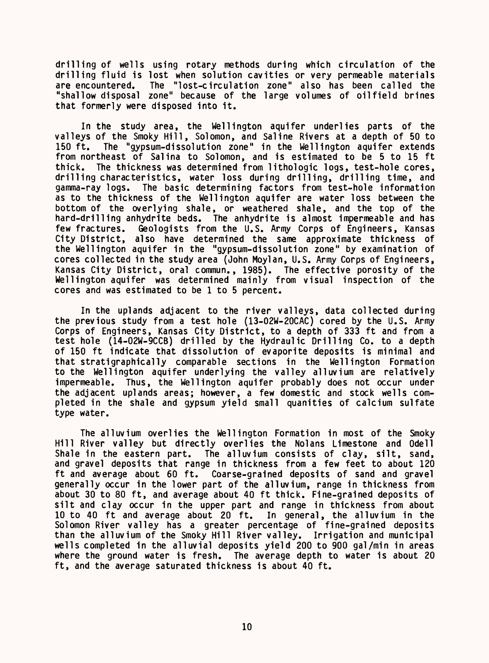drilling of wells using rotary methods during which circulation of the drilling fluid is lost when solution cavities or very permeable materials<br>are encountered. The "lost-circulation zone" also has been called the The "lost-circulation zone" also has been called the "shallow disposal zone" because of the large volumes of oilfield brines that formerly were disposed into it.

In the study area, the Wellington aquifer underlies parts of the valleys of the Smoky Hill, Solomon, and Saline Rivers at a depth of 50 to 150 ft. The "gypsum-dissolution zone" in the Wellington aquifer extends from northeast of Salina to Solomon, and is estimated to be 5 to 15 ft<br>thick. The thickness was determined from lithologic logs, test-hole cores. The thickness was determined from lithologic logs, test-hole cores, drilling characteristics, water loss during drilling, drilling time, and gamma-ray logs. The basic determining factors from test-hole information as to the thickness of the Wellington aquifer are water loss between the bottom of the overlying shale, or weathered shale, and the top of the hard-drilling anhydrite beds. The anhydrite is almost impermeable and has few fractures. Geologists from the U.S. Army Corps of Engineers, Kansas City District, also have determined the same approximate thickness of the Wellington aquifer in the "gypsum-dissolution zone" by examination of cores collected in the study area (John Moylan, U.S. Army Corps of Engineers, Kansas City District, oral commun., 1985). The effective porosity of the Wellington aquifer was determined mainly from visual inspection of the cores and was estimated to be 1 to 5 percent.

In the uplands adjacent to the river valleys, data collected during the previous study from a test hole (13-02W-20CAC) cored by the U.S. Army Corps of Engineers, Kansas City District, to a depth of 333 ft and from a test hole (14-02W-9CCB) drilled by the Hydraulic Drilling Co. to a depth of 150 ft indicate that dissolution of evaporite deposits is minimal and that strati graphically comparable sections in the Wellington Formation to the Wellington aquifer underlying the valley alluvium are relatively impermeable. Thus, the Wellington aquifer probably does not occur under the adjacent uplands areas; however, a few domestic and stock wells completed in the shale and gypsum yield small quanities of calcium sulfate type water.

The alluvium overlies the Wellington Formation in most of the Smoky Hill River valley but directly overlies the Nolans Limestone and Odell Shale in the eastern part. The alluvium consists of clay, silt, sand, and gravel deposits that range in thickness from a few feet to about 120 ft and average about 60 ft. Coarse-grained deposits of sand and gravel generally occur in the lower part of the alluvium, range in thickness from about 30 to 80 ft, and average about 40 ft thick. Fine-grained deposits of silt and clay occur in the upper part and range in thickness from about 10 to 40 ft and average about 20 ft. In general, the alluvium in the Solomon River valley has a greater percentage of fine-grained deposits than the alluvium of the Smoky Hill River valley. Irrigation and municipal wells completed in the alluvial deposits yield 200 to 900 gal/min in areas where the ground water is fresh. The average depth to water is about 20 ft, and the average saturated thickness is about 40 ft.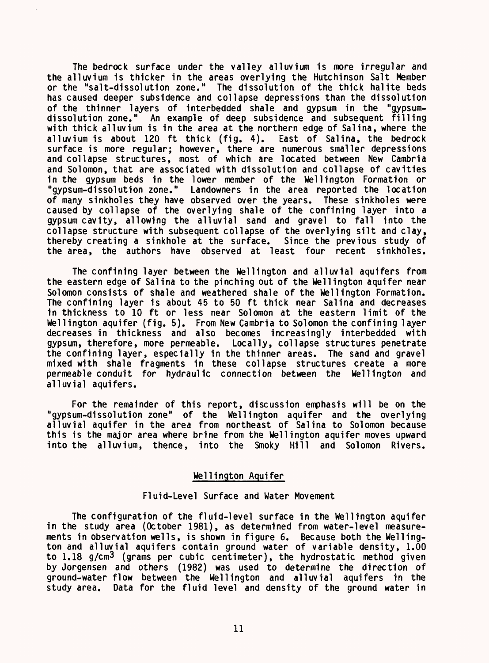The bedrock surface under the valley alluvium is more irregular and the alluvium is thicker in the areas overlying the Hutchinson Salt Member or the "salt-dissolution zone." The dissolution of the thick halite beds has caused deeper subsidence and collapse depressions than the dissolution of the thinner layers of interbedded shale and gypsum in the "gypsumdissolution zone." An example of deep subsidence and subsequent filling with thick alluvium is in the area at the northern edge of Salina, where the alluvium is about 120 ft thick (fig. 4). East of Salina, the bedrock surface is more regular; however, there are numerous smaller depressions and collapse structures, most of which are located between New Cambria and Solomon, that are associated with dissolution and collapse of cavities in the gypsum beds in the lower member of the Wellington Formation or "gypsum-dissolution zone." Landowners in the area reported the location of many sinkholes they have observed over the years. These sinkholes were caused by collapse of the overlying shale of the confining layer into a gypsum cavity, allowing the alluvial sand and gravel to fall into the collapse structure with subsequent collapse of the overlying silt and clay, thereby creating a sinkhole at the surface. Since the previous study of the area, the authors have observed at least four recent sinkholes.

The confining layer between the Wellington and alluvial aquifers from the eastern edge of Salina to the pinching out of the Wellington aquifer near Solomon consists of shale and weathered shale of the Wellington Formation. The confining layer is about 45 to 50 ft thick near Salina and decreases in thickness to 10 ft or less near Solomon at the eastern limit of the Wellington aquifer (fig. 5). From New Cambria to Solomon the confining layer decreases in thickness and also becomes increasingly interbedded with gypsum, therefore, more permeable. Locally, collapse structures penetrate the confining layer, especially in the thinner areas. The sand and gravel mixed with shale fragments in these collapse structures create a more permeable conduit for hydraulic connection between the Wellington and alluvial aquifers.

For the remainder of this report, discussion emphasis will be on the "gypsum-dissolution zone" of the Wellington aquifer and the overlying alluvial aquifer in the area from northeast of Salina to Solomon because this is the major area where brine from the Wellington aquifer moves upward into the alluvium, thence, into the Smoky Hill and Solomon Rivers.

# Wellington Aquifer

# Fluid-Level Surface and Water Movement

The configuration of the fluid-level surface in the Wellington aquifer in the study area (October 1981), as determined from water-level measurements in observation wells, is shown in figure 6. Because both the Wellington and alluvial aquifers contain ground water of variable density, 1.00 to 1.18 g/cm3 (grams per cubic centimeter), the hydrostatic method given by Jorgensen and others (1982) was used to determine the direction of ground-water flow between the Wellington and alluvial aquifers in the study area. Data for the fluid level and density of the ground water in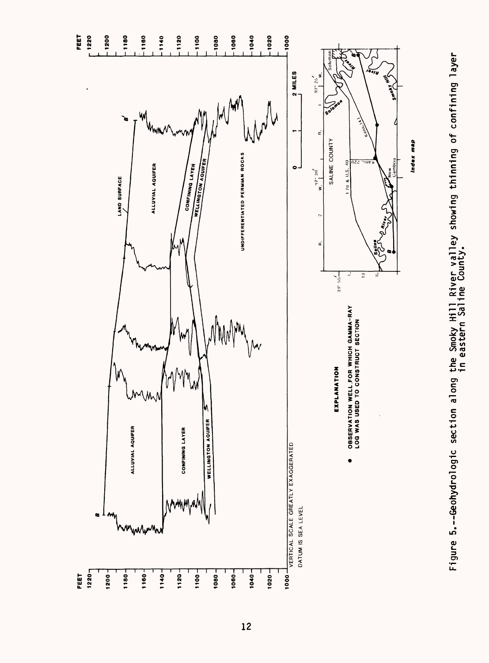

 $12$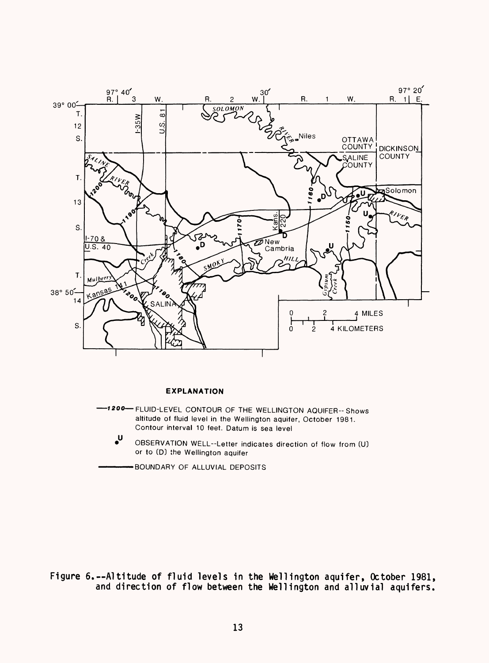

### **EXPLANATION**

 »200 FLUID-LEVEL CONTOUR OF THE WELLINGTON AQUIFER-Shows altitude of fluid level in the Wellington aquifer, October 1981. Contour interval 10 feet. Datum is sea level

 $\mathsf{u}$ OBSERVATION WELL-Letter indicates direction of flow from (U) or to (D) the Wellington aquifer

BOUNDARY OF ALLUVIAL DEPOSITS

Figure 6.--Altitude of fluid levels in the Wellington aquifer, October 1981, and direction of flow between the Wellington and alluvial aquifers.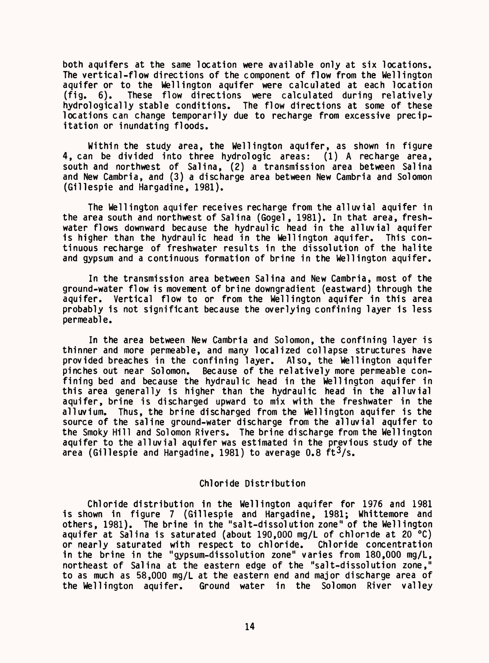both aquifers at the same location were available only at six locations. The vertical-flow directions of the component of flow from the Wellington aquifer or to the Wellington aquifer were calculated at each location (fig. 6). These flow directions were calculated during relatively hydrologically stable conditions. The flow directions at some of these locations can change temporarily due to recharge from excessive precipitation or inundating floods.

Within the study area, the Wellington aquifer, as shown in figure 4, can be divided into three hydrologic areas: (1) A recharge area, south and northwest of Salina, (2) a transmission area between Salina and New Cambria, and (3) a discharge area between New Cambria and Solomon (Gillespie and Hargadine, 1981).

The Wellington aquifer receives recharge from the alluvial aquifer in the area south and northwest of Salina (Gogel, 1981). In that area, freshwater flows downward because the hydraulic head in the alluvial aquifer is higher than the hydraulic head in the Wellington aquifer. This continuous recharge of freshwater results in the dissolution of the halite and gypsum and a continuous formation of brine in the Wellington aquifer.

In the transmission area between Salina and New Cambria, most of the ground-water flow is movement of brine downgradient (eastward) through the aquifer. Vertical flow to or from the Wellington aquifer in this area probably is not significant because the overlying confining layer is less permeable.

In the area between New Cambria and Solomon, the confining layer is thinner and more permeable, and many localized collapse structures have provided breaches in the confining layer. Also, the Wellington aquifer .<br>pinches out near Solomon. Because of the relatively more permeable confining bed and because the hydraulic head in the Wellington aquifer in this area generally is higher than the hydraulic head in the alluvial aquifer, brine is discharged upward to mix with the freshwater in the alluvium. Thus, the brine discharged from the Wellington aquifer is the source of the saline ground-water discharge from the alluvial aquifer to the Smoky Hill and Solomon Rivers. The brine discharge from the Wellington aquifer to the alluvial aquifer was estimated in the previous study of the area (Gillespie and Hargadine, 1981) to average  $0.8 \text{ ft}^3/\text{s}$ .

# Chloride Distribution

Chloride distribution in the Wellington aquifer for 1976 and 1981 is shown in figure 7 (Gillespie and Hargadine, 1981; Whittemore and others, 1981). The brine in the "salt-dissolution zone" of the Wellington aquifer at Salina is saturated (about 190,000 mg/L of chloride at 20 °C) or nearly saturated with respect to chloride. Chloride concentration or nearly saturated with respect to chloride. in the brine in the "gypsum-dissolution zone" varies from 180,000 mg/L, northeast of Salina at the eastern edge of the "salt-dissolution zone," to as much as 58,000 mg/L at the eastern end and major discharge area of the Wellington aquifer. Ground water in the Solomon River valley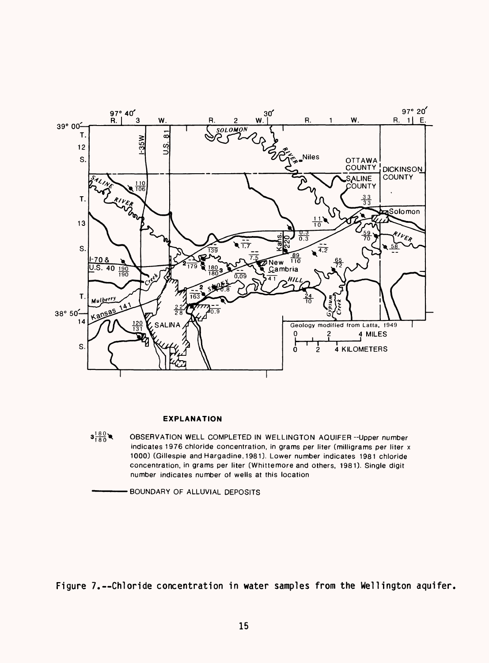

#### **EXPLANATION**

 $3^{180}_{180}$ OBSERVATION WELL COMPLETED IN WELLINGTON AQUIFER --Upper number indicates 1976 chloride concentration, in grams per liter (milligrams per liter x 1000) (Gillespie and Hargadine, 1981). Lower number indicates 1981 chloride concentration, in grams per liter [Whittemore and others, 1981). Single digit number indicates number of wells at this location

BOUNDARY OF ALLUVIAL DEPOSITS

Figure 7.--Chloride concentration in water samples from the Wellington aquifer.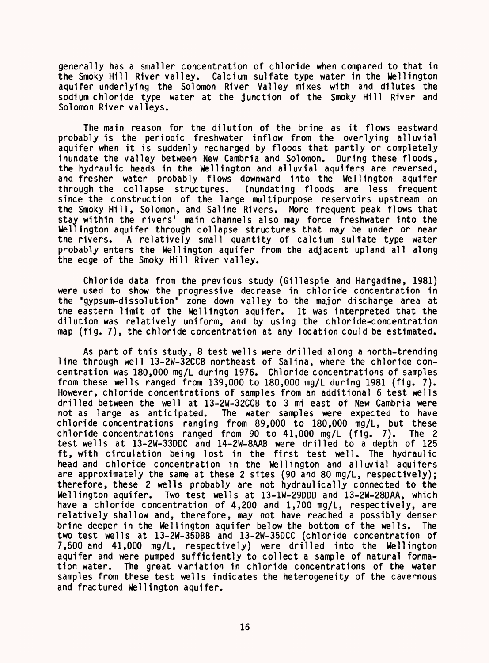generally has a smaller concentration of chloride when compared to that in<br>the Smoky Hill River valley. Calcium sulfate type water in the Wellington Calcium sulfate type water in the Wellington aquifer underlying the Solomon River Valley mixes with and dilutes the sodium chloride type water at the junction of the Smoky Hill River and Solomon River valleys.

The main reason for the dilution of the brine as it flows eastward probably is the periodic freshwater inflow from the overlying alluvial aquifer when it is suddenly recharged by floods that partly or completely inundate the valley between New Cambria and Solomon. During these floods, the hydraulic heads in the Wellington and alluvial aquifers are reversed, and fresher water probably flows downward into the Wellington aquifer<br>through the collapse structures. Inundating floods are less frequent Inundating floods are less frequent since the construction of the large multipurpose reservoirs upstream on the Smoky Hill, Solomon, and Saline Rivers. More frequent peak flows that stay within the rivers' main channels also may force freshwater into the Wellington aquifer through collapse structures that may be under or near the rivers. A relatively small quantity of calcium sulfate type water probably enters the Wellington aquifer from the adjacent upland all along the edge of the Smoky Hill River valley.

Chloride data from the previous study (Gillespie and Hargadine, 1981) were used to show the progressive decrease in chloride concentration in the "gypsum-dissolution" zone down valley to the major discharge area at the eastern limit of the Wellington aquifer. It was interpreted that the dilution was relatively uniform, and by using the chloride-concentration map (fig. 7), the chloride concentration at any location could be estimated.

As part of this study, 8 test wells were drilled along a north-trending line through well 13-2W-32CCB northeast of Salina, where the chloride concentration was 180,000 mg/L during 1976. Chloride concentrations of samples from these wells ranged from 139,000 to 180,000 mg/L during 1981 (fig. 7). However, chloride concentrations of samples from an additional 6 test wells drilled between the well at 13-2W-32CCB to 3 mi east of New Cambria were not as large as anticipated. The water samples were expected to have chloride concentrations ranging from 89,000 to 180,000 mg/L, but these chloride concentrations ranged from 90 to 41,000 mg/L (fig. 7). The 2 test wells at 13-2W-33DDC and 14-2W-8AAB were drilled to a depth of 125 ft, with circulation being lost in the first test well. The hydraulic head and chloride concentration in the Wellington and alluvial aquifers are approximately the same at these 2 sites (90 and 80 mg/L, respectively); therefore, these 2 wells probably are not hydraulically connected to the Wellington aquifer. Two test wells at 13-1W-29DDD and 13-2W-28DAA, which have a chloride concentration of 4,200 and 1,700 mg/L, respectively, are relatively shallow and, therefore, may not have reached a possibly denser brine deeper in the Wellington aquifer below the bottom of the wells. The two test wells at 13-2W-35DBB and 13-2W-35DCC (chloride concentration of 7,500 and 41,000 mg/L, respectively) were drilled into the Wellington aquifer and were pumped sufficiently to collect a sample of natural forma-<br>tion water. The great variation in chloride concentrations of the water The great variation in chloride concentrations of the water samples from these test wells indicates the heterogeneity of the cavernous and fractured Wellington aquifer.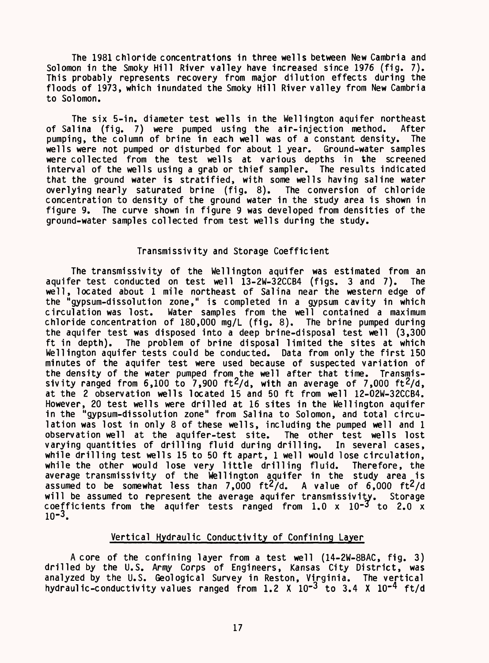The 1981 chloride concentrations in three wells between New Cambria and Solomon in the Smoky Hill River valley have increased since 1976 (fig. 7). This probably represents recovery from major dilution effects during the floods of 1973, which inundated the Smoky Hill River valley from New Cambria to Solomon.

The six 5-in. diameter test wells in the Wellington aquifer northeast of Salina (fig. 7) were pumped using the air-injection method. After<br>pumping, the column of brine in each well was of a constant density. The pumping, the column of brine in each well was of a constant density. wells were not pumped or disturbed for about 1 year. Ground-water samples were collected from the test wells at various depths in the screened interval of the wells using a grab or thief sampler. The results indicated that the ground water is stratified, with some wells having saline water overlying nearly saturated brine (fig. 8). The conversion of chloride concentration to density of the ground water in the study area is shown in figure 9. The curve shown in figure 9 was developed from densities of the ground-water samples collected from test wells during the study.

# Transmissivity and Storage Coefficient

The transmissivity of the Wellington aquifer was estimated from an aquifer test conducted on test well 13-2W-32CCB4 (figs. 3 and 7). The well, located about 1 mile northeast of Salina near the western edge of the "gypsum-dissolution zone," is completed in a gypsum cavity in which circulation was lost. Water samples from the well contained a maximum chloride concentration of 180,000 mg/L (fig. 8). The brine pumped during the aquifer test was disposed into a deep brine-disposal test well (3,300 ft in depth). The problem of brine disposal limited the sites at which Wellington aquifer tests could be conducted. Data from only the first 150 minutes of the aquifer test were used because of suspected variation of the density of the water pumped from the well after that time. Transmissivity ranged from 6,100 to 7,900 ft<sup>2</sup>/d, with an average of 7,000 ft<sup>2</sup>/d, at the 2 observation wells located 15 and 50 ft from well 12-02W-32CCB4. However, 20 test wells were drilled at 16 sites in the Wellington aquifer in the "gypsum-dissolution zone" from Salina to Solomon, and total circulation was lost in only 8 of these wells, including the pumped well and 1 observation well at the aquifer-test site. The other test wells lost observation well at the aquifer-test site. varying quantities of drilling fluid during drilling. In several cases, while drilling test wells 15 to 50 ft apart, 1 well would lose circulation,<br>while the other would lose very little drilling fluid. Therefore, the while the other would lose very little drilling fluid. average transmissivity of the Wellington aquifer in the study area is assumed to be somewhat less than 7,000  $\text{ft}^2/\text{d}$ . A value of 6,000  $\text{ft}^2/\text{d}$ will be assumed to represent the average aquifer transmissivity. Storage coefficients from the aquifer tests ranged from  $1.0 \times 10^{-3}$  to 2.0 x  $10^{-3}$ .

# Vertical Hydraulic Conductivity of Confining Layer

A core of the confining layer from a test well (14-2W-8BAC, fig. 3) drilled by the U.S. Army Corps of Engineers, Kansas City District, was analyzed by the U.S. Geological Survey in Reston, Virginia. The vertical hydraulic-conductivity values ranged from  $1.2 \times 10^{-3}$  to  $3.4 \times 10^{-4}$  ft/d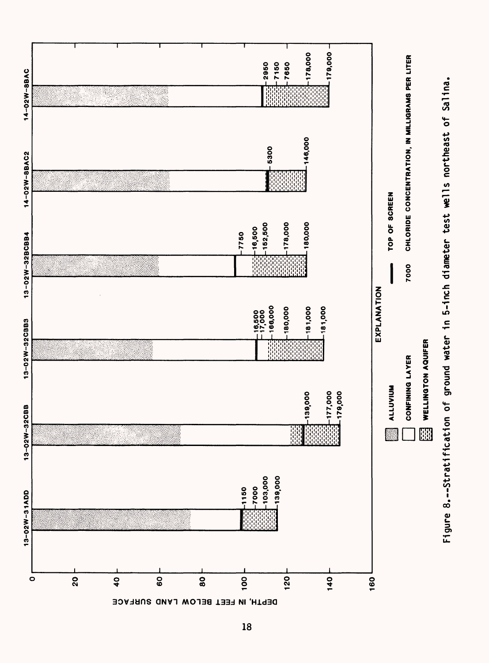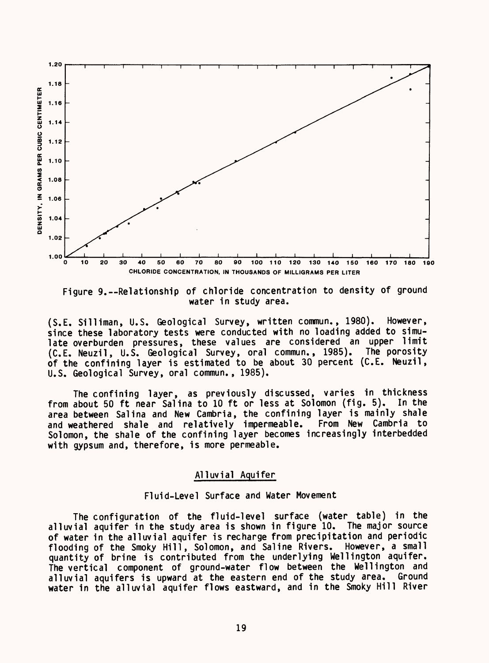

Figure 9.--Relationship of chloride concentration to density of ground water in study area.

(S.E. Silliman, U.S. Geological Survey, written commun., 1980). However, since these laboratory tests were conducted with no loading added to simulate overburden pressures, these values are considered an upper limit (C.E. Neuzil, U.S. Geological Survey, oral commun., 1985). The porosity of the confining layer is estimated to be about 30 percent (C.E. Neuzil, U.S. Geological Survey, oral commun., 1985).

The confining layer, as previously discussed, varies in thickness from about 50 ft near Salina to 10 ft or less at Solomon (fig. 5). In the area between Salina and New Cambria, the confining layer is mainly shale and weathered shale and relatively impermeable. From New Cambria to Solomon, the shale of the confining layer becomes increasingly interbedded with gypsum and, therefore, is more permeable.

# Alluvial Aquifer

# Fluid-Level Surface and Water Movement

The configuration of the fluid-level surface (water table) in the alluvial aquifer in the study area is shown in figure 10. The major source of water in the alluvial aquifer is recharge from precipitation and periodic flooding of the Smoky Hill, Solomon, and Saline Rivers. However, a small quantity of brine is contributed from the underlying Wellington aquifer. The vertical component of ground-water flow between the Wellington and alluvial aquifers is upward at the eastern end of the study area. Ground water in the alluvial aquifer flows eastward, and in the Smoky Hill River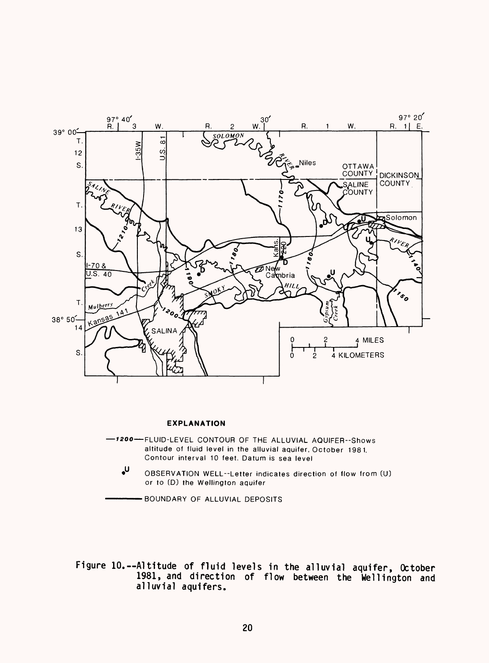

#### **EXPLANATION**

- **-7200** FLUID-LEVEL CONTOUR OF THE ALLUVIAL AQUIFER-Shows altitude of fluid level in the alluvial aquifer, October 1981. Contour interval 10 feet. Datum is sea level
	- OBSERVATION WELL-Letter indicates direction of flow from (U) or to (D) the Wellington aquifer

BOUNDARY OF ALLUVIAL DEPOSITS

Figure 10.--Altitude of fluid levels in the alluvial aquifer, October 1981, and direction of flow between the Wellington and alluvial aquifers.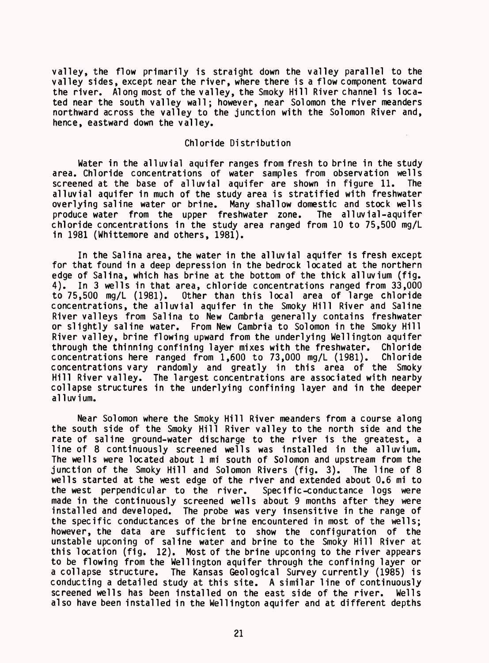valley, the flow primarily is straight down the valley parallel to the valley sides, except near the river, where there is a flow component toward the river. Along most of the valley, the Smoky Hill River channel is located near the south valley wall; however, near Solomon the river meanders northward across the valley to the junction with the Solomon River and, hence, eastward down the valley.

# Chloride Distribution

Water in the alluvial aquifer ranges from fresh to brine in the study area. Chloride concentrations of water samples from observation wells screened at the base of alluvial aquifer are shown in figure 11. The alluvial aquifer in much of the study area is stratified with freshwater overlying saline water or brine. Many shallow domestic and stock wells produce water from the upper freshwater zone. The alluvial-aquifer chloride concentrations in the study area ranged from 10 to 75,500 mg/L in 1981 (Whittemore and others, 1981).

In the Salina area, the water in the alluvial aquifer is fresh except for that found in a deep depression in the bedrock located at the northern edge of Salina, which has brine at the bottom of the thick alluvium (fig. 4). In 3 wells in that area, chloride concentrations ranged from 33,000 to 75,500 mq/L (1981). Other than this local area of large chloride Other than this local area of large chloride concentrations, the alluvial aquifer in the Smoky Hill River and Saline River valleys from Salina to New Cambria generally contains freshwater or slightly saline water. From New Cambria to Solomon in the Smoky Hill River valley, brine flowing upward from the underlying Wellington aquifer through the thinning confining layer mixes with the freshwater. Chloride concentrations here ranged from 1,600 to 73,000 mg/L (1981). Chloride concentrations vary randomly and greatly in this area of the Smoky Hill River valley. The largest concentrations are associated with nearby collapse structures in the underlying confining layer and in the deeper alluvium.

Near Solomon where the Smoky Hill River meanders from a course along the south side of the Smoky Hill River valley to the north side and the rate of saline ground-water discharge to the river is the greatest, a line of 8 continuously screened wells was installed in the alluvium. The wells were located about 1 mi south of Solomon and upstream from the junction of the Smoky Hill and Solomon Rivers (fig. 3). The line of 8 wells started at the west edge of the river and extended about 0.6 mi to the west perpendicular to the river. Specific-conductance logs were made in the continuously screened wells about 9 months after they were installed and developed. The probe was very insensitive in the range of the specific conductances of the brine encountered in most of the wells; however, the data are sufficient to show the configuration of the unstable upconing of saline water and brine to the Smoky Hill River at this location (fig. 12). Most of the brine upconing to the river appears to be flowing from the Wellington aquifer through the confining layer or a collapse structure. The Kansas Geological Survey currently (1985) is conducting a detailed study at this site. A similar line of continuously screened wells has been installed on the east side of the river. Wells also have been installed in the Wellington aquifer and at different depths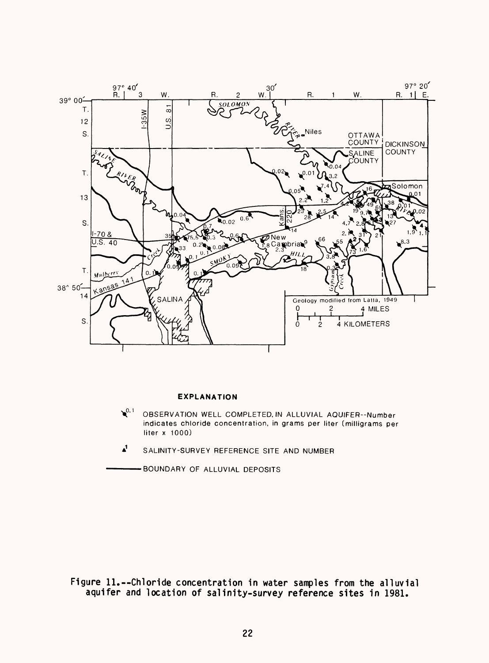

#### **EXPLANATION**

- $\bullet$ <sup>0.1</sup> OBSERVATION WELL COMPLETED. IN ALLUVIAL AQUIFER--Number indicates chloride concentration, in grams per liter [milligrams per liter  $x$  1000)
- A1 SALINITY-SURVEY REFERENCE SITE AND NUMBER

BOUNDARY OF ALLUVIAL DEPOSITS

Figure 11.--Chloride concentration in water samples from the alluvial aquifer and location of salinity-survey reference sites in 1981.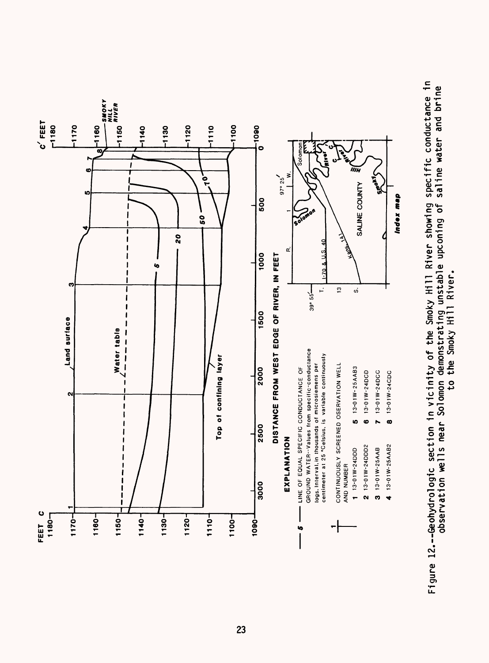

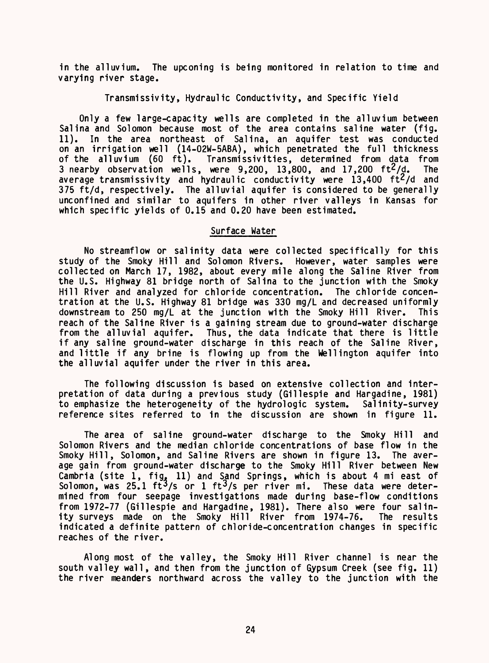in the alluvium. The upconing is being monitored in relation to time and varying river stage.

# Transmissivity, Hydraulic Conductivity, and Specific Yield

Only a few large-capacity wells are completed in the alluvium between Salina and Solomon because most of the area contains saline water (fig. 11). In the area northeast of Salina, an aquifer test was conducted on an irrigation well (14-02W-5ABA), which penetrated the full thickness of the alluvium (60 ft). Transmissivities, determined from data from 3 nearby observation wells, were  $9,200, 13,800,$  and  $17,200$   $\text{ft}^2/\text{d}$ . The average transmissivity and hydraulic conductivity were  $13,400$  ft<sup>2</sup>/d and 375 ft/d, respectively. The alluvial aquifer is considered to be generally unconfined and similar to aquifers in other river valleys in Kansas for which specific yields of 0.15 and 0.20 have been estimated.

# Surface Water

No streamflow or salinity data were collected specifically for this study of the Smoky Hill and Solomon Rivers. However, water samples were collected on March 17, 1982, about every mile along the Saline River from the U.S. Highway 81 bridge north of Salina to the junction with the Smoky Hill River and analyzed for chloride concentration. The chloride concentration at the U.S. Highway 81 bridge was 330 mg/L and decreased uniformly downstream to 250 mg/L at the junction with the Smoky Hill River. This reach of the Saline River is a gaining stream due to ground-water discharge from the alluvial aquifer. Thus, the data indicate that there is little if any saline ground-water discharge in this reach of the Saline River, and little if any brine is flowing up from the Wellington aquifer into the alluvial aquifer under the river in this area.

The following discussion is based on extensive collection and interpretation of data during a previous study (Gillespie and Hargadine, 1981)<br>to emphasize the heterogeneity of the hydrologic system. Salinitv-survey to emphasize the heterogeneity of the hydrologic system. reference sites referred to in the discussion are shown in figure 11.

The area of saline ground-water discharge to the Smoky Hill and Solomon Rivers and the median chloride concentrations of base flow in the Smoky Hill, Solomon, and Saline Rivers are shown in figure 13. The average gain from ground-water discharge to the Smoky Hill River between New Cambria (site  $1$ , fig,  $11$ ) and Sand Springs, which is about 4 mi east of Solomon, was  $25.1$  ft<sup>3</sup>/s or 1 ft<sup>3</sup>/s per river mi. These data were determined from four seepage investigations made during base-flow conditions from 1972-77 (Gillespie and Hargadine, 1981). There also were four salinity surveys made on the Smoky Hill River from 1974-76. indicated a definite pattern of chloride-concentration changes in specific reaches of the river.

Along most of the valley, the Smoky Hill River channel is near the south valley wall, and then from the junction of Gypsum Creek (see fig. 11) the river meanders northward across the valley to the junction with the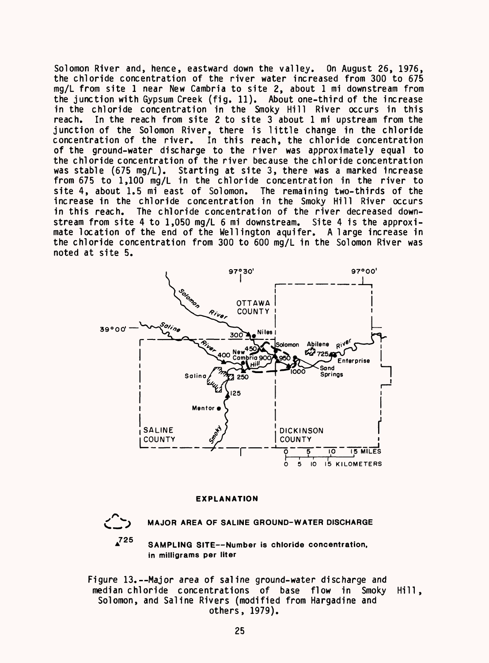Solomon River and, hence, eastward down the valley. On August 26, 1976, the chloride concentration of the river water increased from 300 to 675 mg/L from site 1 near New Cambria to site 2, about 1 mi downstream from the junction with Gypsum Creek (fig. 11). About one-third of the increase in the chloride concentration in the Smoky Hill River occurs in this reach. In the reach from site 2 to site 3 about 1 mi upstream from the junction of the Solomon River, there is little change in the chloride concentration of the river. In this reach, the chloride concentration of the ground-water discharge to the river was approximately equal to the chloride concentration of the river because the chloride concentration was stable (675 mg/L). Starting at site 3, there was a marked increase from 675 to 1,100 mg/L in the chloride concentration in the river to site 4, about 1.5 mi east of Solomon. The remaining two-thirds of the increase in the chloride concentration in the Smoky Hill River occurs in this reach. The chloride concentration of the river decreased downstream from site 4 to 1,050 mg/L 6 mi downstream. Site 4 is the approximate location of the end of the Wellington aquifer. A large increase in the chloride concentration from 300 to 600 mg/L in the Solomon River was noted at site 5.



#### **EXPLANATION**

**725**

**MAJOR AREA OF SALINE GROUND-WATER DISCHARGE**

**SAMPLING SITE--Number is chloride concentration, in milligrams per liter**

Figure 13.--Major area of saline ground-water discharge and median chloride concentrations of base flow in Smoky Solomon, and Saline Rivers (modified from Hargadine and others, 1979). Hill,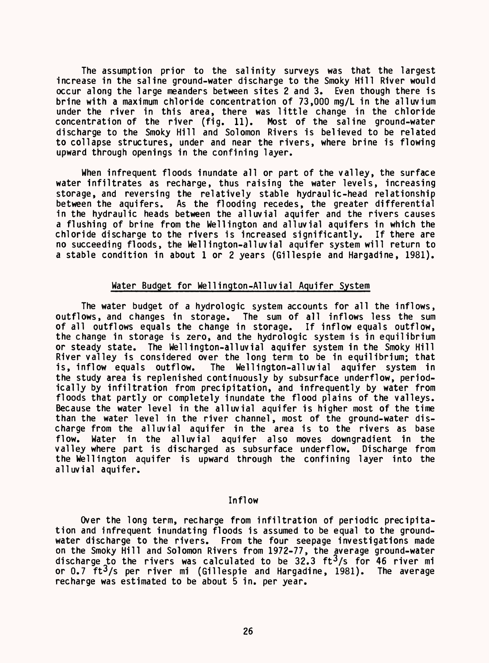The assumption prior to the salinity surveys was that the largest increase in the saline ground-water discharge to the Smoky Hill River would occur along the large meanders between sites 2 and 3. Even though there is brine with a maximum chloride concentration of 73,000 mg/L in the alluvium under the river in this area, there was little change in the chloride concentration of the river (fig. 11). Most of the saline ground-water discharge to the Smoky Hill and Solomon Rivers is believed to be related to collapse structures, under and near the rivers, where brine is flowing upward through openings in the confining layer.

When infrequent floods inundate all or part of the valley, the surface water infiltrates as recharge, thus raising the water levels, increasing storage, and reversing the relatively stable hydraulic-head relationship between the aquifers. As the flooding recedes, the greater differential in the hydraulic heads between the alluvial aquifer and the rivers causes a flushing of brine from the Wellington and alluvial aquifers in which the chloride discharge to the rivers is increased significantly. If there are no succeeding floods, the Wellington-alluvial aquifer system will return to a stable condition in about 1 or 2 years (Gillespie and Hargadine, 1981).

# Water Budget for Wellington-Alluvial Aquifer System

The water budget of a hydrologic system accounts for all the inflows, outflows, and changes in storage. The sum of all inflows less the sum of all outflows equals the change in storage. If inflow equals outflow, the change in storage is zero, and the hydrologic system is in equilibrium or steady state. The Wellington-alluvial aquifer system in the Smoky Hill River valley is considered over the long term to be in equilibrium; that is, inflow equals outflow. The Wellington-alluvial aquifer system in the study area is replenished continuously by subsurface underflow, periodically by infiltration from precipitation, and infrequently by water from floods that partly or completely inundate the flood plains of the valleys. Because the water level in the alluvial aquifer is higher most of the time than the water level in the river channel, most of the ground-water discharge from the alluvial aquifer in the area is to the rivers as base flow. Water in the alluvial aquifer also moves downgradient in the valley where part is discharged as subsurface underflow. Discharge from the Wellington aquifer is upward through the confining layer into the alluvial aquifer.

# Inflow

Over the long term, recharge from infiltration of periodic precipitation and infrequent inundating floods is assumed to be equal to the groundwater discharge to the rivers. From the four seepage investigations made on the Smoky Hill and Solomon Rivers from 1972-77, the average ground-water discharge to the rivers was calculated to be 32.3  $ft^3/s$  for 46 river mi or 0.7 ft<sup>3</sup>/s per river mi (Gillespie and Hargadine, 1981). The average recharge was estimated to be about 5 in. per year.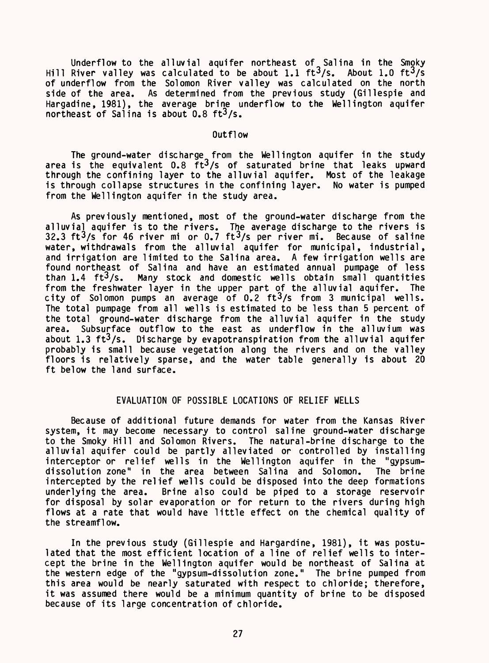Underflow to the alluvial aquifer northeast of Salina in the Smoky Hill River valley was calculated to be about 1.1  $\text{ft}^3/\text{s}$ . About 1.0  $\text{ft}^3/\text{s}$ of underflow from the Solomon River valley was calculated on the north side of the area. As determined from the previous study (Gillespie and Hargadine, 1981), the average brine underflow to the Wellington aquifer northeast of Salina is about  $0.8$  ft<sup>3</sup>/s.

# Outflow

The ground-water discharge from the Wellington aquifer in the study area is the equivalent 0.8 ft<sup>3</sup>/s of saturated brine that leaks upward through the confining layer to the alluvial aquifer. Most of the leakage is through collapse structures in the confining layer. No water is pumped from the Wellington aquifer in the study area.

As previously mentioned, most of the ground-water discharge from the alluvial aquifer is to the rivers. The average discharge to the rivers is 32.3 ft 3/s for 46 river mi or 0.7 ft 3/s per river mi. Because of saline water, withdrawals from the alluvial aquifer for municipal, industrial, and irrigation are limited to the Salina area. A few irrigation wells are found northeast of Salina and have an estimated annual pumpage of less<br>than 1.4  $ft^3/s$ . Many stock and domestic wells obtain small quantities Many stock and domestic wells obtain small quantities from the freshwater layer in the upper part of the alluvial aquifer. The city of Solomon pumps an average of  $0.2$  ft $3/s$  from 3 municipal wells. The total pumpage from all wells is estimated to be less than 5 percent of the total ground-water discharge from the alluvial aquifer in the study area. Subsurface outflow to the east as underflow in the alluvium was about 1.3 ft<sup>3</sup>/s. Discharge by evapotranspiration from the alluvial aquifer probably is small because vegetation along the rivers and on the valley floors is relatively sparse, and the water table generally is about 20 ft below the land surface.

# EVALUATION OF POSSIBLE LOCATIONS OF RELIEF WELLS

Because of additional future demands for water from the Kansas River system, it may become necessary to control saline ground-water discharge to the Smoky Hill and Solomon Rivers. The natural-brine discharge to the alluvial aquifer could be partly alleviated or controlled by installing interceptor or relief wells in the Wellington aquifer in the "gypsumdissolution zone" in the area between Salina and Solomon. The brine intercepted by the relief wells could be disposed into the deep formations underlying the area. Brine also could be piped to a storage reservoir for disposal by solar evaporation or for return to the rivers during high flows at a rate that would have little effect on the chemical quality of the streamflow.

In the previous study (Gillespie and Hargardine, 1981), it was postulated that the most efficient location of a line of relief wells to intercept the brine in the Wellington aquifer would be northeast of Salina at the western edge of the "gypsum-dissolution zone." The brine pumped from this area would be nearly saturated with respect to chloride; therefore, it was assumed there would be a minimum quantity of brine to be disposed because of its large concentration of chloride.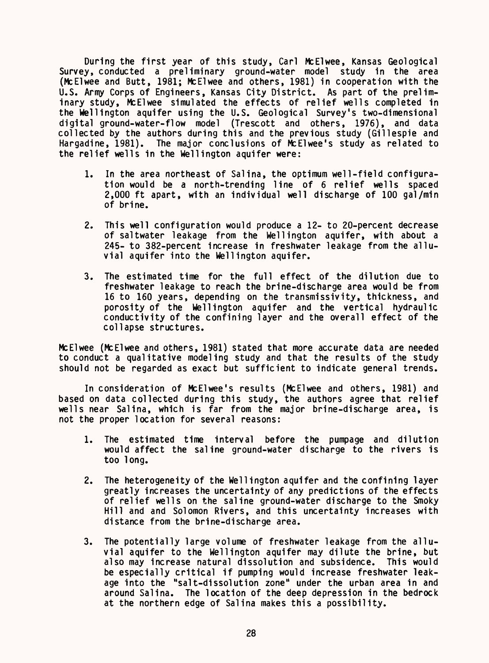During the first year of this study, Carl McElwee, Kansas Geological Survey, conducted a preliminary ground-water model study in the area (McElwee and Butt, 1981; McElwee and others, 1981) in cooperation with the U.S. Army Corps of Engineers, Kansas City District. As part of the preliminary study, McElwee simulated the effects of relief wells completed in the Wellington aquifer using the U.S. Geological Survey's two-dimensional digital ground-water-flow model (Trescott and others, 1976), and data collected by the authors during this and the previous study (Gillespie and Hargadine, 1981). The major conclusions of McElwee's study as related to the relief wells in the Wellington aquifer were:

- 1. In the area northeast of Salina, the optimum well-field configuration would be a north-trending line of 6 relief wells spaced 2,000 ft apart, with an individual well discharge of 100 gal/min of brine.
- 2. This well configuration would produce a 12- to 20-percent decrease of saltwater leakage from the Wellington aquifer, with about a 245- to 382-percent increase in freshwater leakage from the alluvial aquifer into the Wellington aquifer.
- 3. The estimated time for the full effect of the dilution due to freshwater leakage to reach the brine-discharge area would be from 16 to 160 years, depending on the transmissivity, thickness, and porosity of the Wellington aquifer and the vertical hydraulic conductivity of the confining layer and the overall effect of the collapse structures.

McElwee (McElwee and others, 1981) stated that more accurate data are needed to conduct a qualitative modeling study and that the results of the study should not be regarded as exact but sufficient to indicate general trends.

In consideration of McElwee's results (McElwee and others, 1981) and based on data collected during this study, the authors agree that relief wells near Salina, which is far from the major brine-discharge area, is not the proper location for several reasons:

- 1. The estimated time interval before the pumpage and dilution would affect the saline ground-water discharge to the rivers is too long.
- 2. The heterogeneity of the Wellington aquifer and the confining layer greatly increases the uncertainty of any predictions of the effects of relief wells on the saline ground-water discharge to the Smoky Hill and and Solomon Rivers, and this uncertainty increases with distance from the brine-discharge area.
- 3. The potentially large volume of freshwater leakage from the alluvial aquifer to the Wellington aquifer may dilute the brine, but also may increase natural dissolution and subsidence. This would be especially critical if pumping would increase freshwater leakage into the "salt-dissolution zone" under the urban area in and around Salina. The location of the deep depression in the bedrock at the northern edge of Salina makes this a possibility.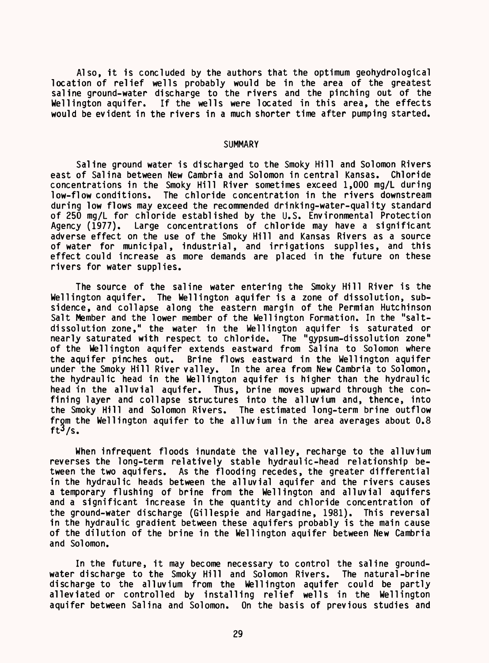Also, it is concluded by the authors that the optimum geohydrological location of relief wells probably would be in the area of the greatest saline ground-water discharge to the rivers and the pinching out of the Wellington aquifer. If the wells were located in this area, the effects would be evident in the rivers in a much shorter time after pumping started.

#### **SUMMARY**

Saline ground water is discharged to the Smoky Hill and Solomon Rivers east of Salina between New Cambria and Solomon in central Kansas. Chloride concentrations in the Smoky Hill River sometimes exceed 1,000 mg/L during The chloride concentration in the rivers downstream during low flows may exceed the recommended drinking-water-quality standard of 250 mg/L for chloride established by the U.S. Environmental Protection<br>Agency (1977). Large concentrations of chloride may have a significant Large concentrations of chloride may have a significant adverse effect on the use of the Smoky Hill and Kansas Rivers as a source of water for municipal, industrial, and irrigations supplies, and this effect could increase as more demands are placed in the future on these rivers for water supplies.

The source of the saline water entering the Smoky Hill River is the Wellington aquifer. The Wellington aquifer is a zone of dissolution, subsidence, and collapse along the eastern margin of the Permian Hutchinson Salt Member and the lower member of the Wellington Formation. In the "saltdissolution zone," the water in the Wellington aquifer is saturated or nearly saturated with respect to chloride. The "gypsum-dissolution zone" of the Wellington aquifer extends eastward from Salina to Solomon where the aquifer pinches out. Brine flows eastward in the Wellington aquifer under the Smoky Hill River valley. In the area from New Cambria to Solomon, the hydraulic head in the Wellington aquifer is higher than the hydraulic head in the alluvial aquifer. Thus, brine moves upward through the confining layer and collapse structures into the alluvium and, thence, into the Smoky Hill and Solomon Rivers. The estimated long-term brine outflow from the Wellington aquifer to the alluvium in the area averages about 0.8 ft $3/s$ .

When infrequent floods inundate the valley, recharge to the alluvium reverses the long-term relatively stable hydraulic-head relationship between the two aquifers. As the flooding recedes, the greater differential in the hydraulic heads between the alluvial aquifer and the rivers causes a temporary flushing of brine from the Wellington and alluvial aquifers and a significant increase in the quantity and chloride concentration of the ground-water discharge (Gillespie and Hargadine, 1981). This reversal in the hydraulic gradient between these aquifers probably is the main cause of the dilution of the brine in the Wellington aquifer between New Cambria and Solomon.

In the future, it may become necessary to control the saline groundwater discharge to the Smoky Hill and Solomon Rivers. The natural-brine discharge to the alluvium from the Wellington aquifer could be partly alleviated or controlled by installing relief wells in the Wellington aquifer between Salina and Solomon. On the basis of previous studies and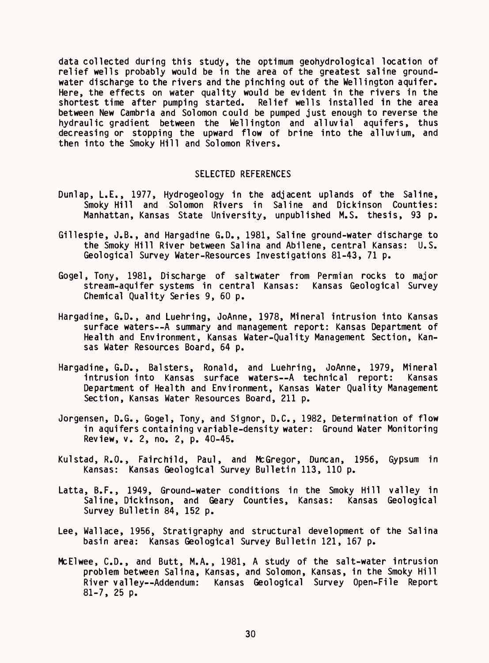data collected during this study, the optimum geohydrological location of relief wells probably would be in the area of the greatest saline groundwater discharge to the rivers and the pinching out of the Wellington aquifer. Here, the effects on water quality would be evident in the rivers in the shortest time after pumping started. Relief wells installed in the area between New Cambria and Solomon could be pumped just enough to reverse the hydraulic gradient between the Wellington and alluvial aquifers, thus decreasing or stopping the upward flow of brine into the alluvium, and then into the Smoky Hill and Solomon Rivers.

# SELECTED REFERENCES

- Dunlap, I.E., 1977, Hydrogeology in the adjacent uplands of the Saline, Smoky Hill and Solomon Rivers in Saline and Dickinson Counties: Manhattan, Kansas State University, unpublished M.S. thesis, 93 p.
- Gillespie, J.B., and Hargadine G.D., 1981, Saline ground-water discharge to the Smoky Hill River between Salina and Abilene, central Kansas: U.S. Geological Survey Water-Resources Investigations 81-43, 71 p.
- Gogel, Tony, 1981, Discharge of saltwater from Permian rocks to major stream-aquifer systems in central Kansas: Kansas Geological Survey Chemical Quality Series 9, 60 p.
- Hargadine, G.D., and Luehring, JoAnne, 1978, Mineral intrusion into Kansas surface waters--A summary and management report: Kansas Department of Health and Environment, Kansas Water-Quality Management Section, Kansas Water Resources Board, 64 p.
- Hargadine, G.D., Balsters, Ronald, and Luehring, JoAnne, 1979, Mineral intrusion into Kansas surface waters--A technical report: Kansas Department of Health and Environment, Kansas Water Quality Management Section, Kansas Water Resources Board, 211 p.
- Jorgensen, D.G., Gogel, Tony, and Signor, D.C., 1982, Determination of flow in aquifers containing variable-density water: Ground Water Monitoring Review, v. 2, no. 2, p. 40-45.
- Kulstad, R.O., Fairchild, Paul, and McGregor, Duncan, 1956, Gypsum in Kansas: Kansas Geological Survey Bulletin 113, 110 p.
- Latta, B.F., 1949, Ground-water conditions in the Smoky Hill valley in Saline, Dickinson, and Geary Counties, Kansas: Kansas Geological Survey Bulletin 84, 152 p.
- Lee, Wallace, 1956, Stratigraphy and structural development of the Salina basin area: Kansas Geological Survey Bulletin 121, 167 p.
- McElwee, C.D., and Butt, M.A., 1981, A study of the salt-water intrusion problem between Salina, Kansas, and Solomon, Kansas, in the Smoky Hill River valley--Addendum: Kansas Geological Survey Open-File Report 81-7, 25 p.